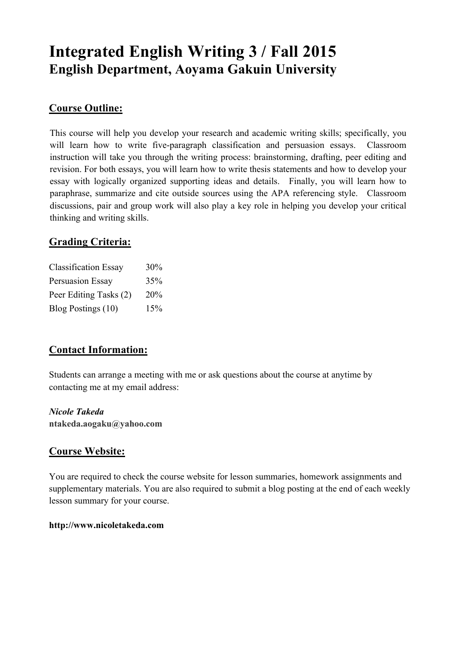# **Integrated English Writing 3 / Fall 2015 English Department, Aoyama Gakuin University**

### **Course Outline:**

This course will help you develop your research and academic writing skills; specifically, you will learn how to write five-paragraph classification and persuasion essays. Classroom instruction will take you through the writing process: brainstorming, drafting, peer editing and revision. For both essays, you will learn how to write thesis statements and how to develop your essay with logically organized supporting ideas and details. Finally, you will learn how to paraphrase, summarize and cite outside sources using the APA referencing style. Classroom discussions, pair and group work will also play a key role in helping you develop your critical thinking and writing skills.

## **Grading Criteria:**

| <b>Classification Essay</b> | $30\%$ |
|-----------------------------|--------|
| <b>Persuasion Essay</b>     | 35%    |
| Peer Editing Tasks (2)      | 20%    |
| Blog Postings (10)          | 15%    |

# **Contact Information:**

Students can arrange a meeting with me or ask questions about the course at anytime by contacting me at my email address:

### *Nicole Takeda*

**ntakeda.aogaku@yahoo.com**

### **Course Website:**

You are required to check the course website for lesson summaries, homework assignments and supplementary materials. You are also required to submit a blog posting at the end of each weekly lesson summary for your course.

#### **http://www.nicoletakeda.com**